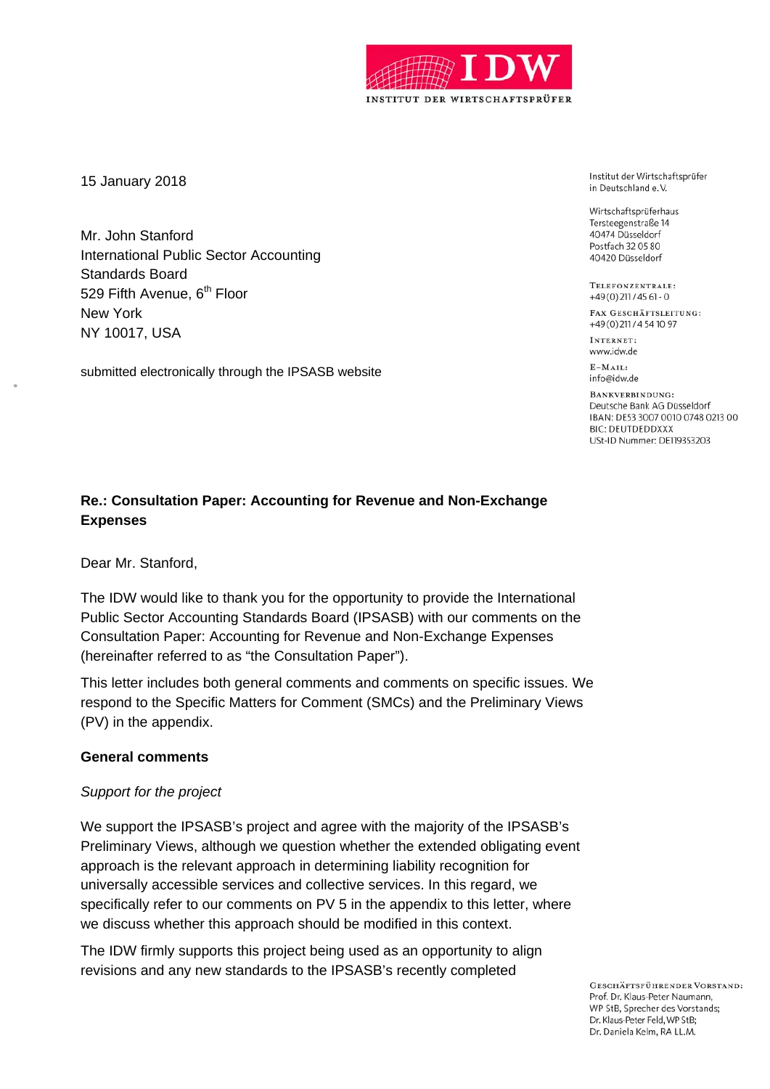

15 January 2018

Mr. John Stanford International Public Sector Accounting Standards Board 529 Fifth Avenue, 6<sup>th</sup> Floor New York NY 10017, USA

submitted electronically through the IPSASB website

Institut der Wirtschaftsprüfer in Deutschland e.V.

Wirtschaftsprüferhaus Tersteegenstraße 14 40474 Düsseldorf Postfach 32 05 80 40420 Düsseldorf

TELEFONZENTRALE. +49(0)211/45 61 - 0

FAX GESCHÄFTSLEITUNG: +49(0)211/4541097

INTERNET<sup>.</sup> www.idw.de

 $E-MAIL$ info@idw.de

BANKVERBINDHNG-Deutsche Bank AG Düsseldorf IBAN: DE53 3007 0010 0748 0213 00 **BIC: DEUTDEDDXXX** USt-ID Nummer: DE119353203

# **Re.: Consultation Paper: Accounting for Revenue and Non-Exchange Expenses**

Dear Mr. Stanford,

The IDW would like to thank you for the opportunity to provide the International Public Sector Accounting Standards Board (IPSASB) with our comments on the Consultation Paper: Accounting for Revenue and Non-Exchange Expenses (hereinafter referred to as "the Consultation Paper").

This letter includes both general comments and comments on specific issues. We respond to the Specific Matters for Comment (SMCs) and the Preliminary Views (PV) in the appendix.

# **General comments**

# *Support for the project*

We support the IPSASB's project and agree with the majority of the IPSASB's Preliminary Views, although we question whether the extended obligating event approach is the relevant approach in determining liability recognition for universally accessible services and collective services. In this regard, we specifically refer to our comments on PV 5 in the appendix to this letter, where we discuss whether this approach should be modified in this context.

The IDW firmly supports this project being used as an opportunity to align revisions and any new standards to the IPSASB's recently completed

> **GESCHÄFTSFÜHRENDER VORSTAND:** Prof. Dr. Klaus-Peter Naumann, WP StB, Sprecher des Vorstands; Dr. Klaus-Peter Feld, WP StB; Dr. Daniela Kelm, RA LL.M.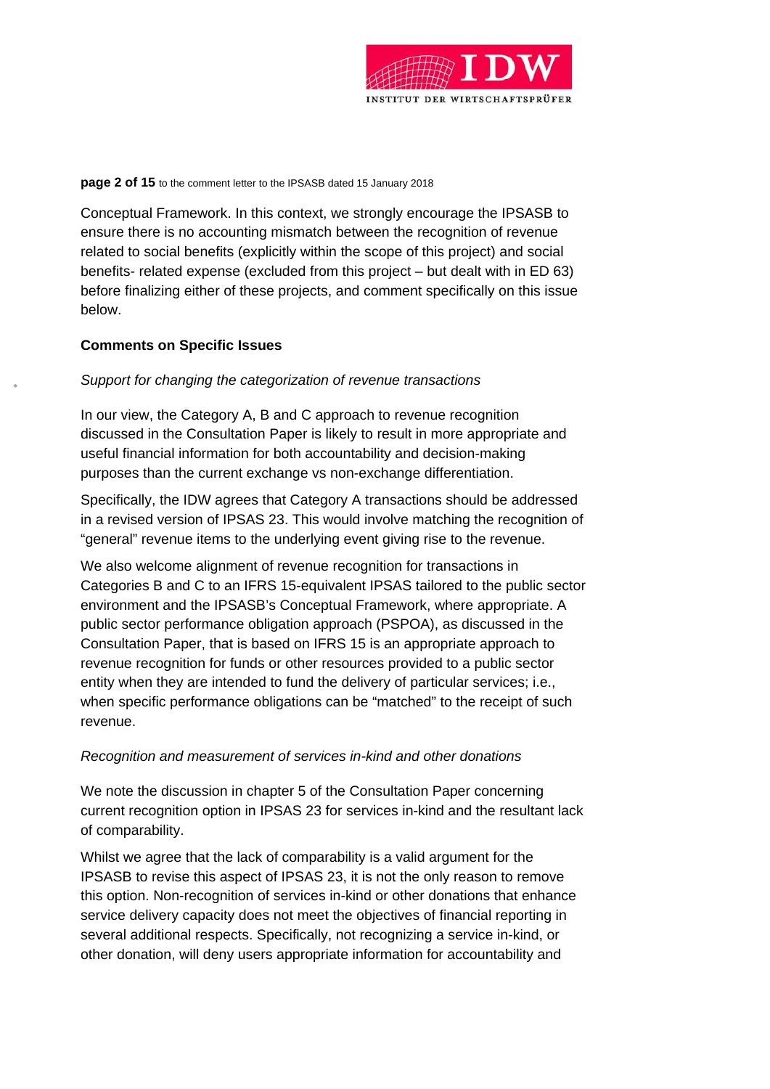

#### **page 2 of 15** to the comment letter to the IPSASB dated 15 January 2018

Conceptual Framework. In this context, we strongly encourage the IPSASB to ensure there is no accounting mismatch between the recognition of revenue related to social benefits (explicitly within the scope of this project) and social benefits- related expense (excluded from this project – but dealt with in ED 63) before finalizing either of these projects, and comment specifically on this issue below.

# **Comments on Specific Issues**

# *Support for changing the categorization of revenue transactions*

In our view, the Category A, B and C approach to revenue recognition discussed in the Consultation Paper is likely to result in more appropriate and useful financial information for both accountability and decision-making purposes than the current exchange vs non-exchange differentiation.

Specifically, the IDW agrees that Category A transactions should be addressed in a revised version of IPSAS 23. This would involve matching the recognition of "general" revenue items to the underlying event giving rise to the revenue.

We also welcome alignment of revenue recognition for transactions in Categories B and C to an IFRS 15-equivalent IPSAS tailored to the public sector environment and the IPSASB's Conceptual Framework, where appropriate. A public sector performance obligation approach (PSPOA), as discussed in the Consultation Paper, that is based on IFRS 15 is an appropriate approach to revenue recognition for funds or other resources provided to a public sector entity when they are intended to fund the delivery of particular services; i.e., when specific performance obligations can be "matched" to the receipt of such revenue.

# *Recognition and measurement of services in-kind and other donations*

We note the discussion in chapter 5 of the Consultation Paper concerning current recognition option in IPSAS 23 for services in-kind and the resultant lack of comparability.

Whilst we agree that the lack of comparability is a valid argument for the IPSASB to revise this aspect of IPSAS 23, it is not the only reason to remove this option. Non-recognition of services in-kind or other donations that enhance service delivery capacity does not meet the objectives of financial reporting in several additional respects. Specifically, not recognizing a service in-kind, or other donation, will deny users appropriate information for accountability and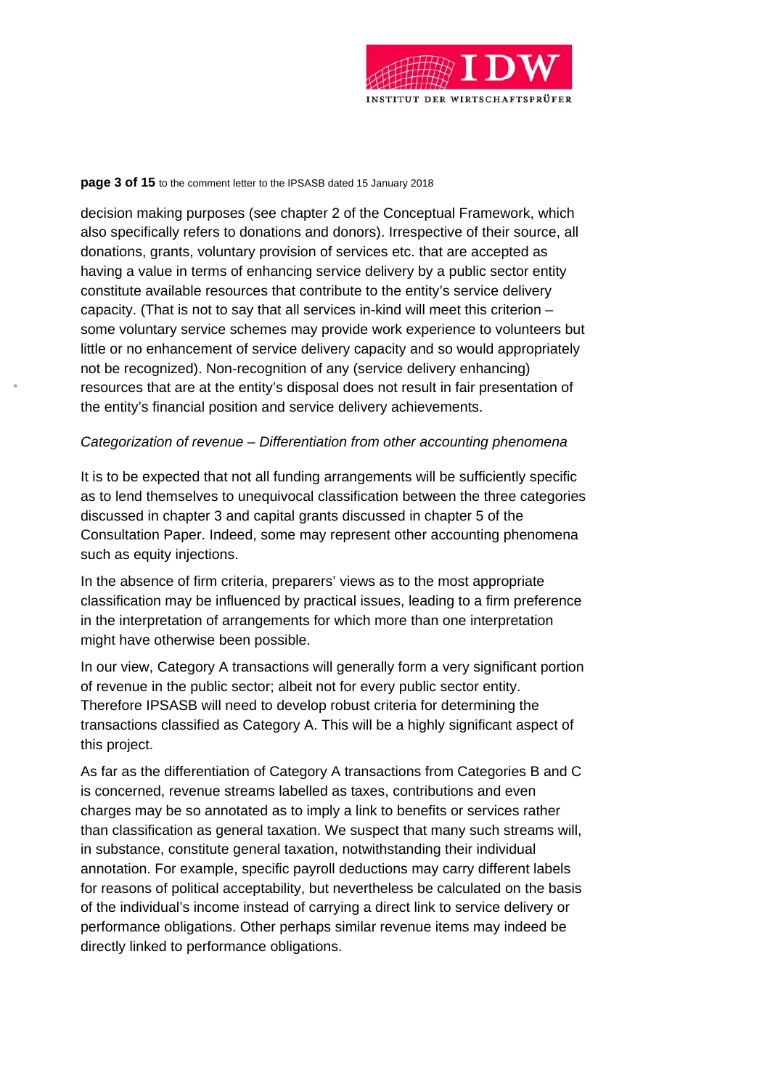

#### **page 3 of 15** to the comment letter to the IPSASB dated 15 January 2018

decision making purposes (see chapter 2 of the Conceptual Framework, which also specifically refers to donations and donors). Irrespective of their source, all donations, grants, voluntary provision of services etc. that are accepted as having a value in terms of enhancing service delivery by a public sector entity constitute available resources that contribute to the entity's service delivery capacity. (That is not to say that all services in-kind will meet this criterion – some voluntary service schemes may provide work experience to volunteers but little or no enhancement of service delivery capacity and so would appropriately not be recognized). Non-recognition of any (service delivery enhancing) resources that are at the entity's disposal does not result in fair presentation of the entity's financial position and service delivery achievements.

### *Categorization of revenue – Differentiation from other accounting phenomena*

It is to be expected that not all funding arrangements will be sufficiently specific as to lend themselves to unequivocal classification between the three categories discussed in chapter 3 and capital grants discussed in chapter 5 of the Consultation Paper. Indeed, some may represent other accounting phenomena such as equity injections.

In the absence of firm criteria, preparers' views as to the most appropriate classification may be influenced by practical issues, leading to a firm preference in the interpretation of arrangements for which more than one interpretation might have otherwise been possible.

In our view, Category A transactions will generally form a very significant portion of revenue in the public sector; albeit not for every public sector entity. Therefore IPSASB will need to develop robust criteria for determining the transactions classified as Category A. This will be a highly significant aspect of this project.

As far as the differentiation of Category A transactions from Categories B and C is concerned, revenue streams labelled as taxes, contributions and even charges may be so annotated as to imply a link to benefits or services rather than classification as general taxation. We suspect that many such streams will, in substance, constitute general taxation, notwithstanding their individual annotation. For example, specific payroll deductions may carry different labels for reasons of political acceptability, but nevertheless be calculated on the basis of the individual's income instead of carrying a direct link to service delivery or performance obligations. Other perhaps similar revenue items may indeed be directly linked to performance obligations.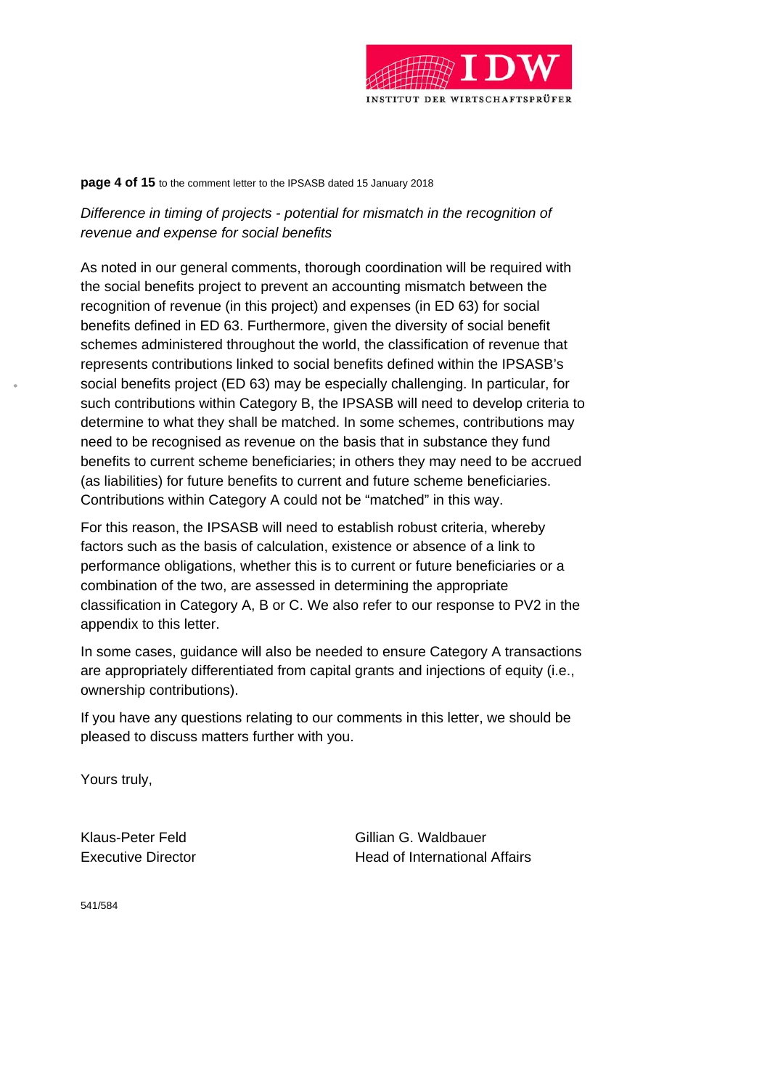

#### **page 4 of 15** to the comment letter to the IPSASB dated 15 January 2018

*Difference in timing of projects - potential for mismatch in the recognition of revenue and expense for social benefits* 

As noted in our general comments, thorough coordination will be required with the social benefits project to prevent an accounting mismatch between the recognition of revenue (in this project) and expenses (in ED 63) for social benefits defined in ED 63. Furthermore, given the diversity of social benefit schemes administered throughout the world, the classification of revenue that represents contributions linked to social benefits defined within the IPSASB's social benefits project (ED 63) may be especially challenging. In particular, for such contributions within Category B, the IPSASB will need to develop criteria to determine to what they shall be matched. In some schemes, contributions may need to be recognised as revenue on the basis that in substance they fund benefits to current scheme beneficiaries; in others they may need to be accrued (as liabilities) for future benefits to current and future scheme beneficiaries. Contributions within Category A could not be "matched" in this way.

For this reason, the IPSASB will need to establish robust criteria, whereby factors such as the basis of calculation, existence or absence of a link to performance obligations, whether this is to current or future beneficiaries or a combination of the two, are assessed in determining the appropriate classification in Category A, B or C. We also refer to our response to PV2 in the appendix to this letter.

In some cases, guidance will also be needed to ensure Category A transactions are appropriately differentiated from capital grants and injections of equity (i.e., ownership contributions).

If you have any questions relating to our comments in this letter, we should be pleased to discuss matters further with you.

Yours truly,

Klaus-Peter Feld Gillian G. Waldbauer Executive Director **Executive Director Head of International Affairs** 

541/584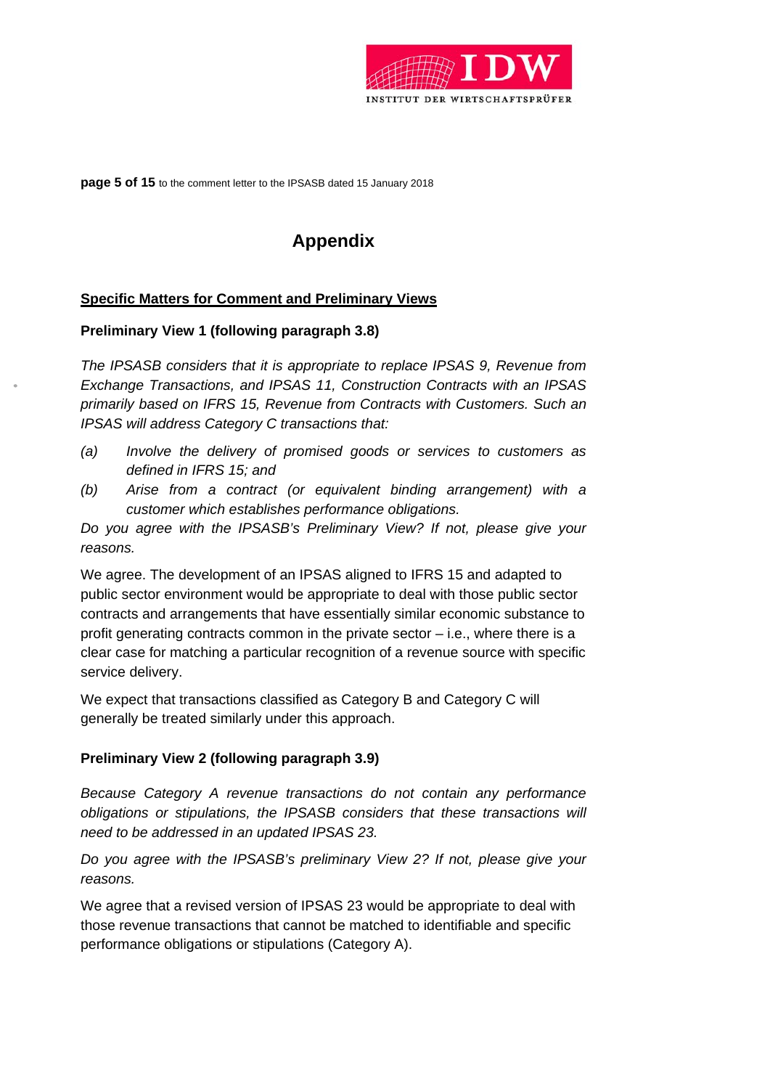

**page 5 of 15** to the comment letter to the IPSASB dated 15 January 2018

# **Appendix**

# **Specific Matters for Comment and Preliminary Views**

# **Preliminary View 1 (following paragraph 3.8)**

*The IPSASB considers that it is appropriate to replace IPSAS 9, Revenue from Exchange Transactions, and IPSAS 11, Construction Contracts with an IPSAS primarily based on IFRS 15, Revenue from Contracts with Customers. Such an IPSAS will address Category C transactions that:* 

- *(a) Involve the delivery of promised goods or services to customers as defined in IFRS 15; and*
- *(b) Arise from a contract (or equivalent binding arrangement) with a customer which establishes performance obligations.*

*Do you agree with the IPSASB's Preliminary View? If not, please give your reasons.* 

We agree. The development of an IPSAS aligned to IFRS 15 and adapted to public sector environment would be appropriate to deal with those public sector contracts and arrangements that have essentially similar economic substance to profit generating contracts common in the private sector – i.e., where there is a clear case for matching a particular recognition of a revenue source with specific service delivery.

We expect that transactions classified as Category B and Category C will generally be treated similarly under this approach.

# **Preliminary View 2 (following paragraph 3.9)**

*Because Category A revenue transactions do not contain any performance obligations or stipulations, the IPSASB considers that these transactions will need to be addressed in an updated IPSAS 23.* 

*Do you agree with the IPSASB's preliminary View 2? If not, please give your reasons.* 

We agree that a revised version of IPSAS 23 would be appropriate to deal with those revenue transactions that cannot be matched to identifiable and specific performance obligations or stipulations (Category A).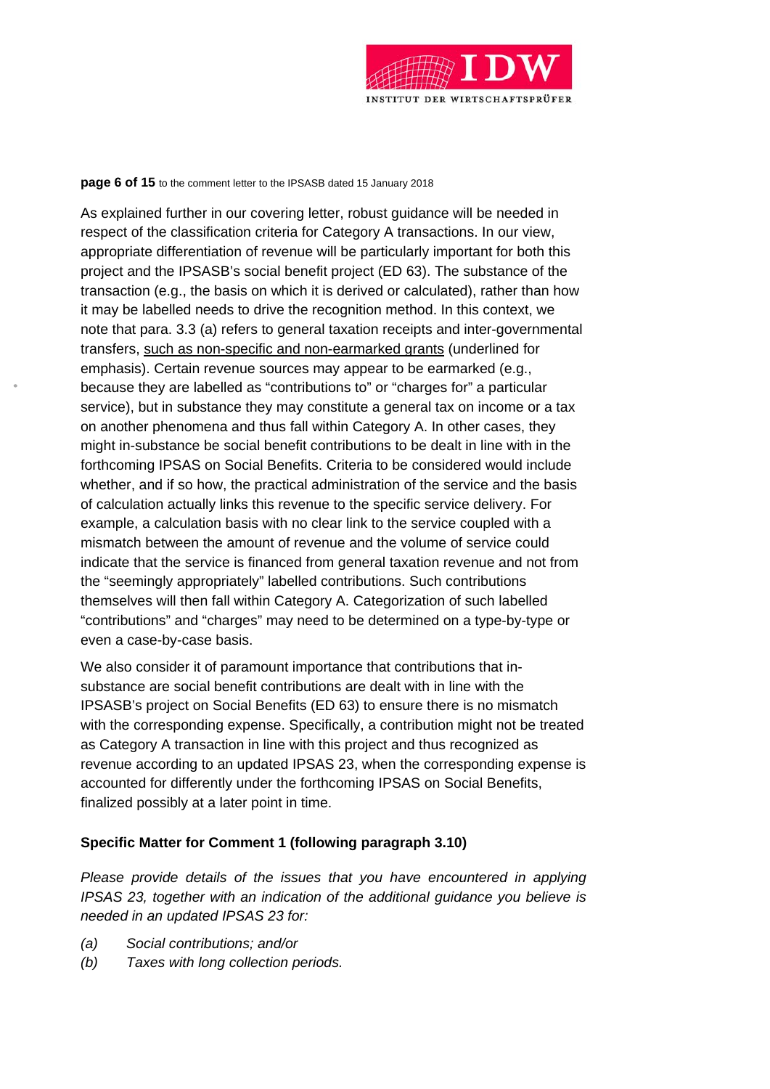

#### **page 6 of 15** to the comment letter to the IPSASB dated 15 January 2018

As explained further in our covering letter, robust guidance will be needed in respect of the classification criteria for Category A transactions. In our view, appropriate differentiation of revenue will be particularly important for both this project and the IPSASB's social benefit project (ED 63). The substance of the transaction (e.g., the basis on which it is derived or calculated), rather than how it may be labelled needs to drive the recognition method. In this context, we note that para. 3.3 (a) refers to general taxation receipts and inter-governmental transfers, such as non-specific and non-earmarked grants (underlined for emphasis). Certain revenue sources may appear to be earmarked (e.g., because they are labelled as "contributions to" or "charges for" a particular service), but in substance they may constitute a general tax on income or a tax on another phenomena and thus fall within Category A. In other cases, they might in-substance be social benefit contributions to be dealt in line with in the forthcoming IPSAS on Social Benefits. Criteria to be considered would include whether, and if so how, the practical administration of the service and the basis of calculation actually links this revenue to the specific service delivery. For example, a calculation basis with no clear link to the service coupled with a mismatch between the amount of revenue and the volume of service could indicate that the service is financed from general taxation revenue and not from the "seemingly appropriately" labelled contributions. Such contributions themselves will then fall within Category A. Categorization of such labelled "contributions" and "charges" may need to be determined on a type-by-type or even a case-by-case basis.

We also consider it of paramount importance that contributions that insubstance are social benefit contributions are dealt with in line with the IPSASB's project on Social Benefits (ED 63) to ensure there is no mismatch with the corresponding expense. Specifically, a contribution might not be treated as Category A transaction in line with this project and thus recognized as revenue according to an updated IPSAS 23, when the corresponding expense is accounted for differently under the forthcoming IPSAS on Social Benefits, finalized possibly at a later point in time.

# **Specific Matter for Comment 1 (following paragraph 3.10)**

*Please provide details of the issues that you have encountered in applying IPSAS 23, together with an indication of the additional guidance you believe is needed in an updated IPSAS 23 for:* 

- *(a) Social contributions; and/or*
- *(b) Taxes with long collection periods.*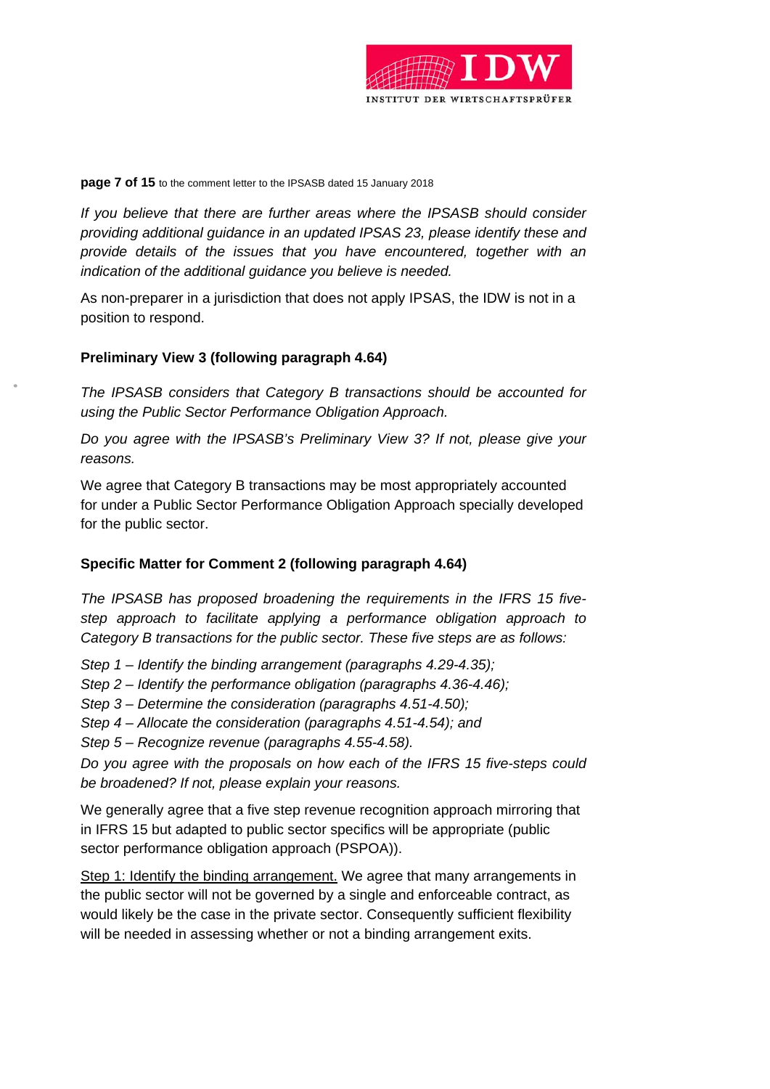

### **page 7 of 15** to the comment letter to the IPSASB dated 15 January 2018

*If you believe that there are further areas where the IPSASB should consider providing additional guidance in an updated IPSAS 23, please identify these and provide details of the issues that you have encountered, together with an indication of the additional guidance you believe is needed.* 

As non-preparer in a jurisdiction that does not apply IPSAS, the IDW is not in a position to respond.

# **Preliminary View 3 (following paragraph 4.64)**

*The IPSASB considers that Category B transactions should be accounted for using the Public Sector Performance Obligation Approach.* 

*Do you agree with the IPSASB's Preliminary View 3? If not, please give your reasons.* 

We agree that Category B transactions may be most appropriately accounted for under a Public Sector Performance Obligation Approach specially developed for the public sector.

# **Specific Matter for Comment 2 (following paragraph 4.64)**

*The IPSASB has proposed broadening the requirements in the IFRS 15 fivestep approach to facilitate applying a performance obligation approach to Category B transactions for the public sector. These five steps are as follows:* 

*Step 1 – Identify the binding arrangement (paragraphs 4.29-4.35);* 

*Step 2 – Identify the performance obligation (paragraphs 4.36-4.46);* 

*Step 3 – Determine the consideration (paragraphs 4.51-4.50);* 

*Step 4 – Allocate the consideration (paragraphs 4.51-4.54); and* 

*Step 5 – Recognize revenue (paragraphs 4.55-4.58).* 

*Do you agree with the proposals on how each of the IFRS 15 five-steps could be broadened? If not, please explain your reasons.* 

We generally agree that a five step revenue recognition approach mirroring that in IFRS 15 but adapted to public sector specifics will be appropriate (public sector performance obligation approach (PSPOA)).

Step 1: Identify the binding arrangement. We agree that many arrangements in the public sector will not be governed by a single and enforceable contract, as would likely be the case in the private sector. Consequently sufficient flexibility will be needed in assessing whether or not a binding arrangement exits.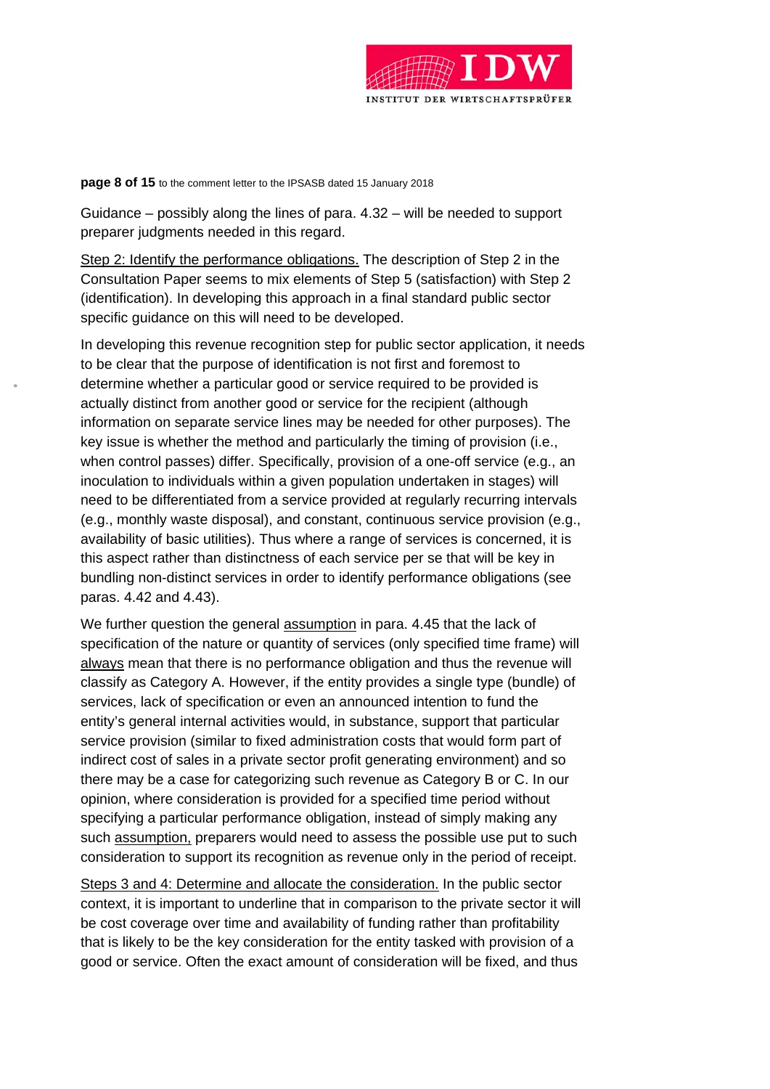

**page 8 of 15** to the comment letter to the IPSASB dated 15 January 2018

Guidance – possibly along the lines of para. 4.32 – will be needed to support preparer judgments needed in this regard.

Step 2: Identify the performance obligations. The description of Step 2 in the Consultation Paper seems to mix elements of Step 5 (satisfaction) with Step 2 (identification). In developing this approach in a final standard public sector specific guidance on this will need to be developed.

In developing this revenue recognition step for public sector application, it needs to be clear that the purpose of identification is not first and foremost to determine whether a particular good or service required to be provided is actually distinct from another good or service for the recipient (although information on separate service lines may be needed for other purposes). The key issue is whether the method and particularly the timing of provision (i.e., when control passes) differ. Specifically, provision of a one-off service (e.g., an inoculation to individuals within a given population undertaken in stages) will need to be differentiated from a service provided at regularly recurring intervals (e.g., monthly waste disposal), and constant, continuous service provision (e.g., availability of basic utilities). Thus where a range of services is concerned, it is this aspect rather than distinctness of each service per se that will be key in bundling non-distinct services in order to identify performance obligations (see paras. 4.42 and 4.43).

We further question the general assumption in para. 4.45 that the lack of specification of the nature or quantity of services (only specified time frame) will always mean that there is no performance obligation and thus the revenue will classify as Category A. However, if the entity provides a single type (bundle) of services, lack of specification or even an announced intention to fund the entity's general internal activities would, in substance, support that particular service provision (similar to fixed administration costs that would form part of indirect cost of sales in a private sector profit generating environment) and so there may be a case for categorizing such revenue as Category B or C. In our opinion, where consideration is provided for a specified time period without specifying a particular performance obligation, instead of simply making any such assumption, preparers would need to assess the possible use put to such consideration to support its recognition as revenue only in the period of receipt.

Steps 3 and 4: Determine and allocate the consideration. In the public sector context, it is important to underline that in comparison to the private sector it will be cost coverage over time and availability of funding rather than profitability that is likely to be the key consideration for the entity tasked with provision of a good or service. Often the exact amount of consideration will be fixed, and thus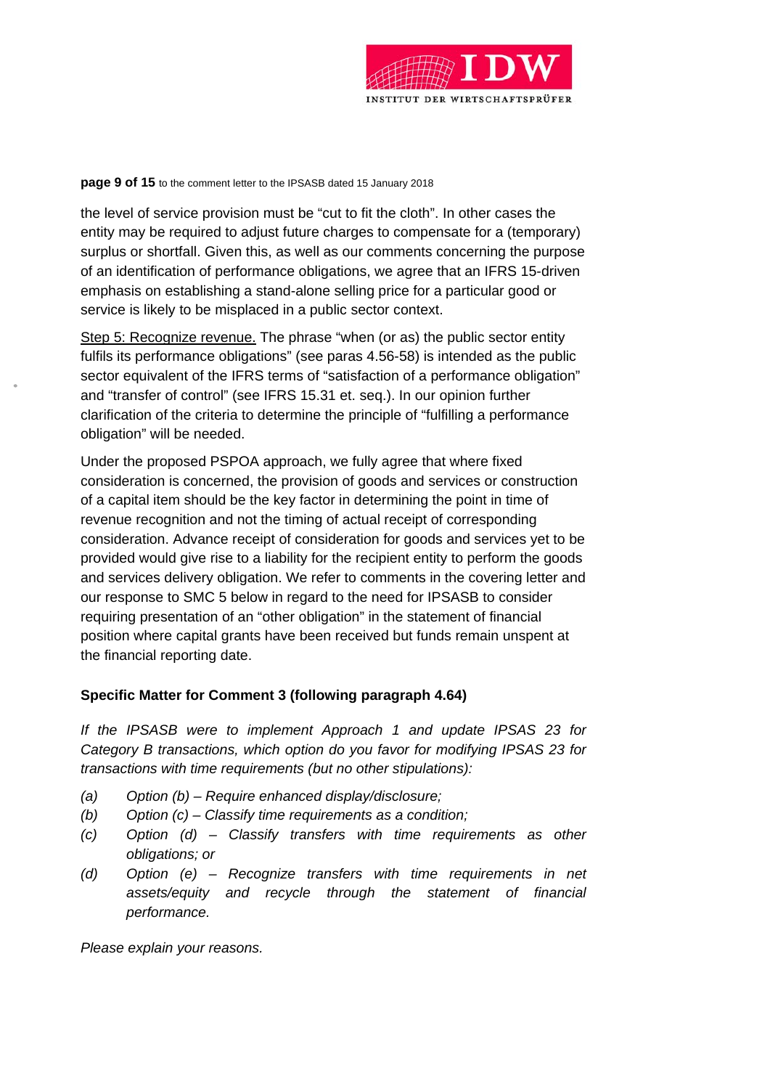

#### **page 9 of 15** to the comment letter to the IPSASB dated 15 January 2018

the level of service provision must be "cut to fit the cloth". In other cases the entity may be required to adjust future charges to compensate for a (temporary) surplus or shortfall. Given this, as well as our comments concerning the purpose of an identification of performance obligations, we agree that an IFRS 15-driven emphasis on establishing a stand-alone selling price for a particular good or service is likely to be misplaced in a public sector context.

Step 5: Recognize revenue. The phrase "when (or as) the public sector entity fulfils its performance obligations" (see paras 4.56-58) is intended as the public sector equivalent of the IFRS terms of "satisfaction of a performance obligation" and "transfer of control" (see IFRS 15.31 et. seq.). In our opinion further clarification of the criteria to determine the principle of "fulfilling a performance obligation" will be needed.

Under the proposed PSPOA approach, we fully agree that where fixed consideration is concerned, the provision of goods and services or construction of a capital item should be the key factor in determining the point in time of revenue recognition and not the timing of actual receipt of corresponding consideration. Advance receipt of consideration for goods and services yet to be provided would give rise to a liability for the recipient entity to perform the goods and services delivery obligation. We refer to comments in the covering letter and our response to SMC 5 below in regard to the need for IPSASB to consider requiring presentation of an "other obligation" in the statement of financial position where capital grants have been received but funds remain unspent at the financial reporting date.

# **Specific Matter for Comment 3 (following paragraph 4.64)**

*If the IPSASB were to implement Approach 1 and update IPSAS 23 for Category B transactions, which option do you favor for modifying IPSAS 23 for transactions with time requirements (but no other stipulations):* 

- *(a) Option (b) Require enhanced display/disclosure;*
- *(b) Option (c) Classify time requirements as a condition;*
- *(c) Option (d) Classify transfers with time requirements as other obligations; or*
- *(d) Option (e) Recognize transfers with time requirements in net assets/equity and recycle through the statement of financial performance.*

*Please explain your reasons.*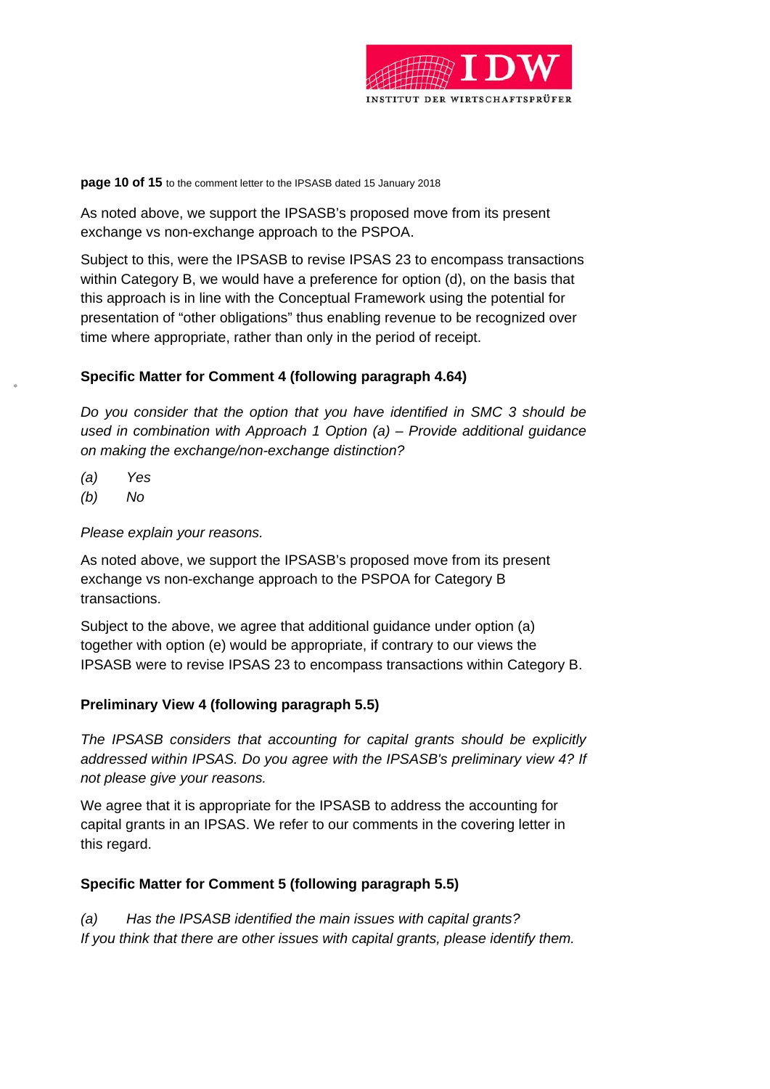

**page 10 of 15** to the comment letter to the IPSASB dated 15 January 2018

As noted above, we support the IPSASB's proposed move from its present exchange vs non-exchange approach to the PSPOA.

Subject to this, were the IPSASB to revise IPSAS 23 to encompass transactions within Category B, we would have a preference for option (d), on the basis that this approach is in line with the Conceptual Framework using the potential for presentation of "other obligations" thus enabling revenue to be recognized over time where appropriate, rather than only in the period of receipt.

# **Specific Matter for Comment 4 (following paragraph 4.64)**

*Do you consider that the option that you have identified in SMC 3 should be used in combination with Approach 1 Option (a) – Provide additional guidance on making the exchange/non-exchange distinction?* 

- *(a) Yes*
- *(b) No*

*Please explain your reasons.* 

As noted above, we support the IPSASB's proposed move from its present exchange vs non-exchange approach to the PSPOA for Category B transactions.

Subject to the above, we agree that additional guidance under option (a) together with option (e) would be appropriate, if contrary to our views the IPSASB were to revise IPSAS 23 to encompass transactions within Category B.

# **Preliminary View 4 (following paragraph 5.5)**

*The IPSASB considers that accounting for capital grants should be explicitly addressed within IPSAS. Do you agree with the IPSASB's preliminary view 4? If not please give your reasons.* 

We agree that it is appropriate for the IPSASB to address the accounting for capital grants in an IPSAS. We refer to our comments in the covering letter in this regard.

# **Specific Matter for Comment 5 (following paragraph 5.5)**

*(a) Has the IPSASB identified the main issues with capital grants? If you think that there are other issues with capital grants, please identify them.*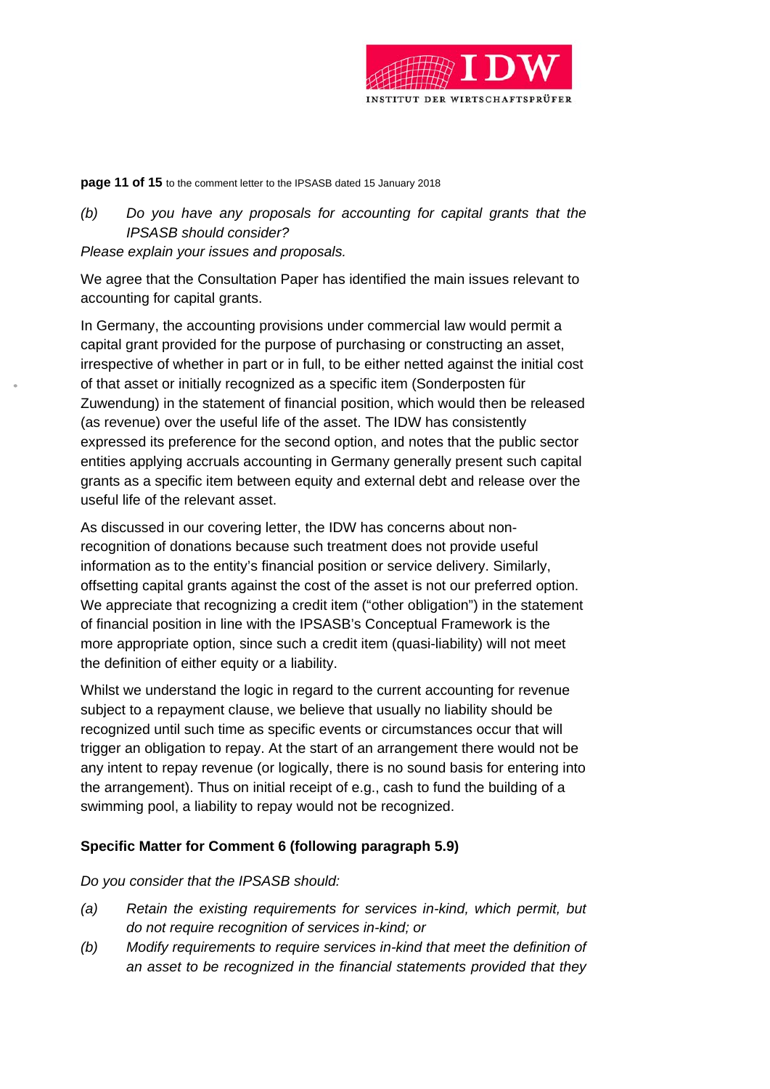

#### **page 11 of 15** to the comment letter to the IPSASB dated 15 January 2018

# *(b) Do you have any proposals for accounting for capital grants that the IPSASB should consider?*

### *Please explain your issues and proposals.*

We agree that the Consultation Paper has identified the main issues relevant to accounting for capital grants.

In Germany, the accounting provisions under commercial law would permit a capital grant provided for the purpose of purchasing or constructing an asset, irrespective of whether in part or in full, to be either netted against the initial cost of that asset or initially recognized as a specific item (Sonderposten für Zuwendung) in the statement of financial position, which would then be released (as revenue) over the useful life of the asset. The IDW has consistently expressed its preference for the second option, and notes that the public sector entities applying accruals accounting in Germany generally present such capital grants as a specific item between equity and external debt and release over the useful life of the relevant asset.

As discussed in our covering letter, the IDW has concerns about nonrecognition of donations because such treatment does not provide useful information as to the entity's financial position or service delivery. Similarly, offsetting capital grants against the cost of the asset is not our preferred option. We appreciate that recognizing a credit item ("other obligation") in the statement of financial position in line with the IPSASB's Conceptual Framework is the more appropriate option, since such a credit item (quasi-liability) will not meet the definition of either equity or a liability.

Whilst we understand the logic in regard to the current accounting for revenue subject to a repayment clause, we believe that usually no liability should be recognized until such time as specific events or circumstances occur that will trigger an obligation to repay. At the start of an arrangement there would not be any intent to repay revenue (or logically, there is no sound basis for entering into the arrangement). Thus on initial receipt of e.g., cash to fund the building of a swimming pool, a liability to repay would not be recognized.

# **Specific Matter for Comment 6 (following paragraph 5.9)**

# *Do you consider that the IPSASB should:*

- *(a) Retain the existing requirements for services in-kind, which permit, but do not require recognition of services in-kind; or*
- *(b) Modify requirements to require services in-kind that meet the definition of an asset to be recognized in the financial statements provided that they*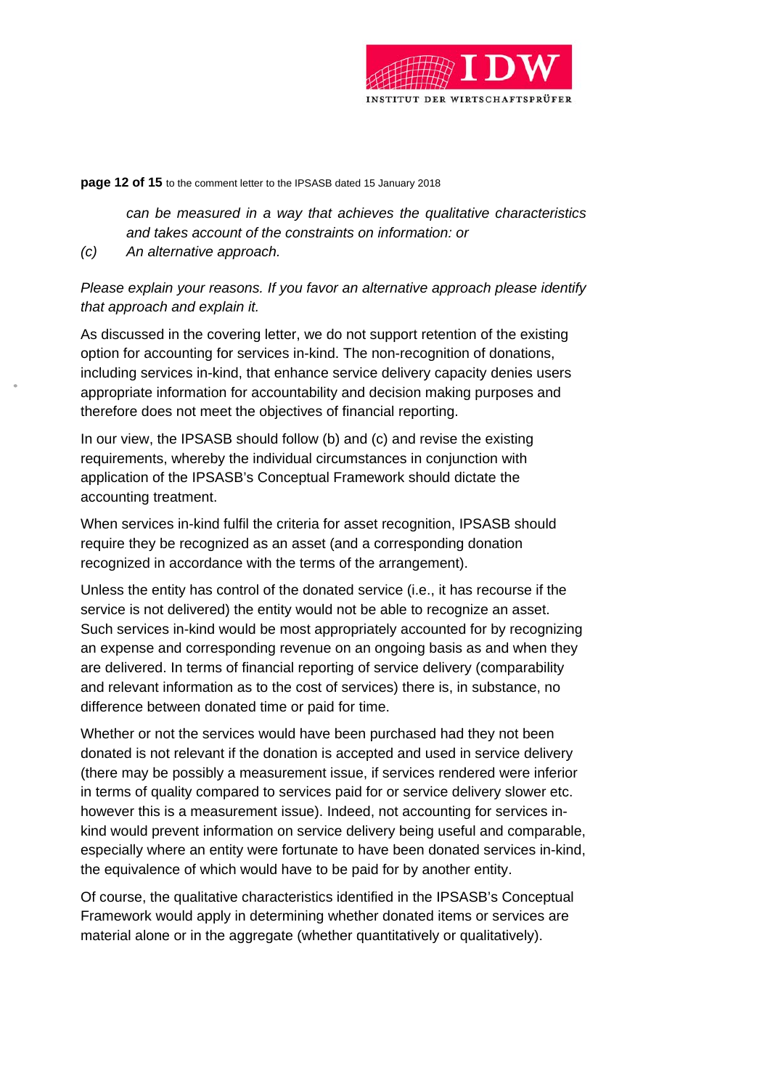

#### **page 12 of 15** to the comment letter to the IPSASB dated 15 January 2018

 *can be measured in a way that achieves the qualitative characteristics and takes account of the constraints on information: or* 

*(c) An alternative approach.* 

# *Please explain your reasons. If you favor an alternative approach please identify that approach and explain it.*

As discussed in the covering letter, we do not support retention of the existing option for accounting for services in-kind. The non-recognition of donations, including services in-kind, that enhance service delivery capacity denies users appropriate information for accountability and decision making purposes and therefore does not meet the objectives of financial reporting.

In our view, the IPSASB should follow (b) and (c) and revise the existing requirements, whereby the individual circumstances in conjunction with application of the IPSASB's Conceptual Framework should dictate the accounting treatment.

When services in-kind fulfil the criteria for asset recognition, IPSASB should require they be recognized as an asset (and a corresponding donation recognized in accordance with the terms of the arrangement).

Unless the entity has control of the donated service (i.e., it has recourse if the service is not delivered) the entity would not be able to recognize an asset. Such services in-kind would be most appropriately accounted for by recognizing an expense and corresponding revenue on an ongoing basis as and when they are delivered. In terms of financial reporting of service delivery (comparability and relevant information as to the cost of services) there is, in substance, no difference between donated time or paid for time.

Whether or not the services would have been purchased had they not been donated is not relevant if the donation is accepted and used in service delivery (there may be possibly a measurement issue, if services rendered were inferior in terms of quality compared to services paid for or service delivery slower etc. however this is a measurement issue). Indeed, not accounting for services inkind would prevent information on service delivery being useful and comparable, especially where an entity were fortunate to have been donated services in-kind, the equivalence of which would have to be paid for by another entity.

Of course, the qualitative characteristics identified in the IPSASB's Conceptual Framework would apply in determining whether donated items or services are material alone or in the aggregate (whether quantitatively or qualitatively).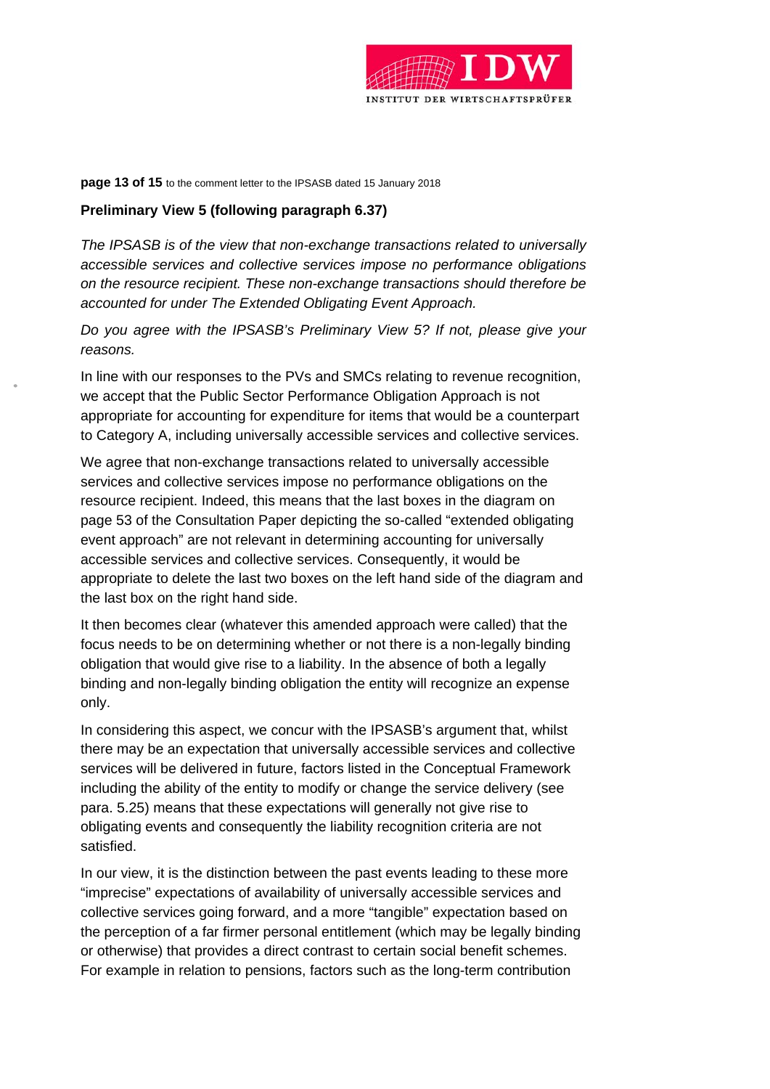

#### **page 13 of 15** to the comment letter to the IPSASB dated 15 January 2018

### **Preliminary View 5 (following paragraph 6.37)**

*The IPSASB is of the view that non-exchange transactions related to universally accessible services and collective services impose no performance obligations on the resource recipient. These non-exchange transactions should therefore be accounted for under The Extended Obligating Event Approach.* 

*Do you agree with the IPSASB's Preliminary View 5? If not, please give your reasons.* 

In line with our responses to the PVs and SMCs relating to revenue recognition, we accept that the Public Sector Performance Obligation Approach is not appropriate for accounting for expenditure for items that would be a counterpart to Category A, including universally accessible services and collective services.

We agree that non-exchange transactions related to universally accessible services and collective services impose no performance obligations on the resource recipient. Indeed, this means that the last boxes in the diagram on page 53 of the Consultation Paper depicting the so-called "extended obligating event approach" are not relevant in determining accounting for universally accessible services and collective services. Consequently, it would be appropriate to delete the last two boxes on the left hand side of the diagram and the last box on the right hand side.

It then becomes clear (whatever this amended approach were called) that the focus needs to be on determining whether or not there is a non-legally binding obligation that would give rise to a liability. In the absence of both a legally binding and non-legally binding obligation the entity will recognize an expense only.

In considering this aspect, we concur with the IPSASB's argument that, whilst there may be an expectation that universally accessible services and collective services will be delivered in future, factors listed in the Conceptual Framework including the ability of the entity to modify or change the service delivery (see para. 5.25) means that these expectations will generally not give rise to obligating events and consequently the liability recognition criteria are not satisfied.

In our view, it is the distinction between the past events leading to these more "imprecise" expectations of availability of universally accessible services and collective services going forward, and a more "tangible" expectation based on the perception of a far firmer personal entitlement (which may be legally binding or otherwise) that provides a direct contrast to certain social benefit schemes. For example in relation to pensions, factors such as the long-term contribution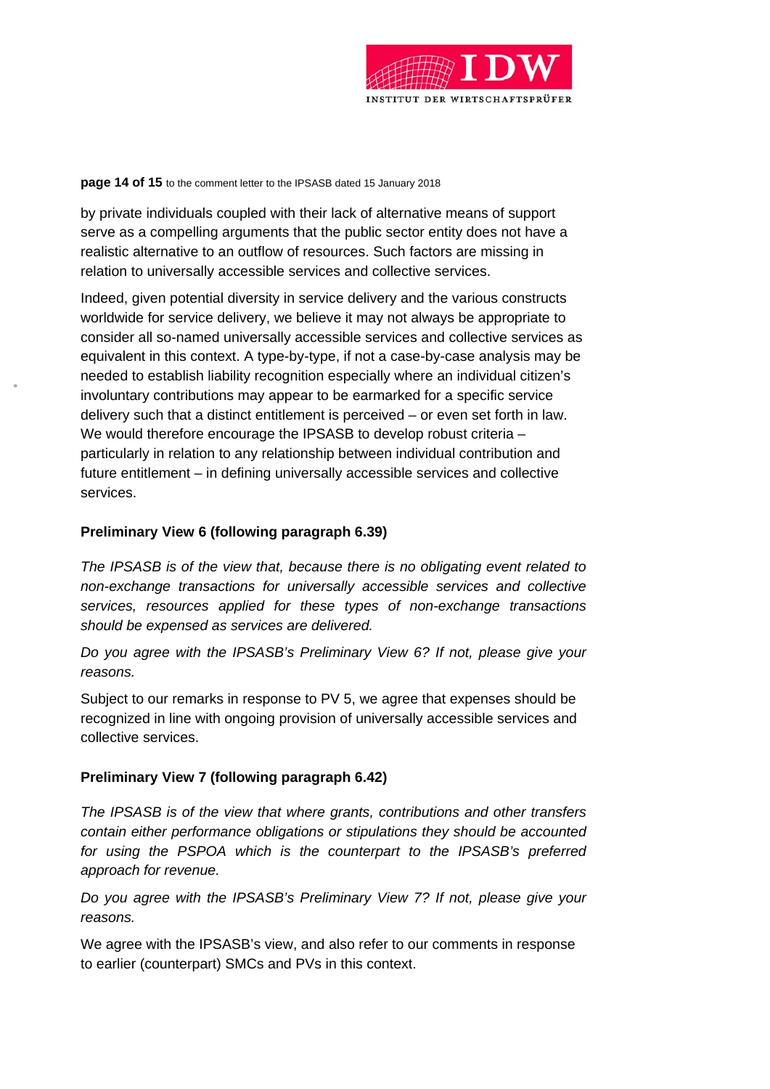

#### **page 14 of 15** to the comment letter to the IPSASB dated 15 January 2018

by private individuals coupled with their lack of alternative means of support serve as a compelling arguments that the public sector entity does not have a realistic alternative to an outflow of resources. Such factors are missing in relation to universally accessible services and collective services.

Indeed, given potential diversity in service delivery and the various constructs worldwide for service delivery, we believe it may not always be appropriate to consider all so-named universally accessible services and collective services as equivalent in this context. A type-by-type, if not a case-by-case analysis may be needed to establish liability recognition especially where an individual citizen's involuntary contributions may appear to be earmarked for a specific service delivery such that a distinct entitlement is perceived – or even set forth in law. We would therefore encourage the IPSASB to develop robust criteria – particularly in relation to any relationship between individual contribution and future entitlement – in defining universally accessible services and collective services.

### **Preliminary View 6 (following paragraph 6.39)**

*The IPSASB is of the view that, because there is no obligating event related to non-exchange transactions for universally accessible services and collective services, resources applied for these types of non-exchange transactions should be expensed as services are delivered.* 

*Do you agree with the IPSASB's Preliminary View 6? If not, please give your reasons.* 

Subject to our remarks in response to PV 5, we agree that expenses should be recognized in line with ongoing provision of universally accessible services and collective services.

# **Preliminary View 7 (following paragraph 6.42)**

*The IPSASB is of the view that where grants, contributions and other transfers contain either performance obligations or stipulations they should be accounted for using the PSPOA which is the counterpart to the IPSASB's preferred approach for revenue.* 

*Do you agree with the IPSASB's Preliminary View 7? If not, please give your reasons.* 

We agree with the IPSASB's view, and also refer to our comments in response to earlier (counterpart) SMCs and PVs in this context.